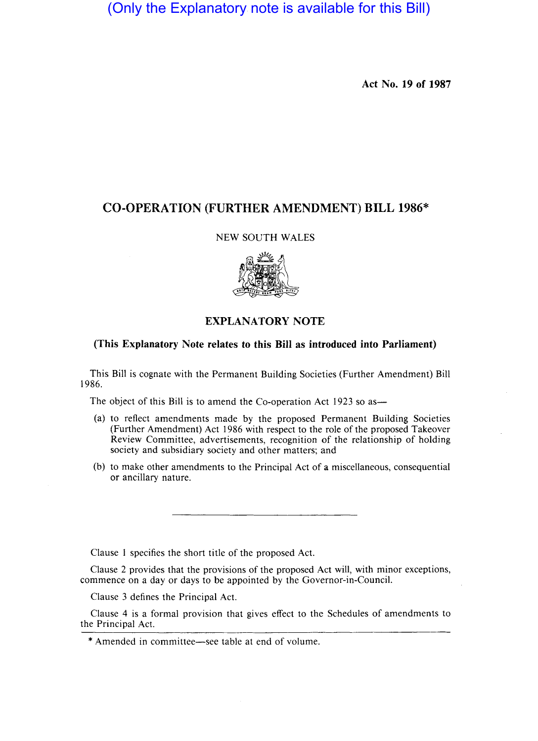(Only the Explanatory note is available for this Bill)

Act No. 19 of 1987

# CO-OPERATION (FURTHER AMENDMENT) BILL 1986\*

### NEW SOUTH WALES



# EXPLANATORY NOTE

## (This Explanatory Note relates to this Bill as introduced into Parliament)

This Bill is cognate with the Permanent Building Societies (Further Amendment) Bill 1986.

The object of this Bill is to amend the Co-operation Act 1923 so as—

- (a) to reflect amendments made by the proposed Permanent Building Societies (Further Amendment) Act 1986 with respect to the role of the proposed Takeover Review Committee, advertisements, recognition of the relationship of holding society and subsidiary society and other matters; and
- (b) to make other amendments to the Principal Act of a miscellaneous, consequential or ancillary nature.

Clause I specifies the short title of the proposed Act.

Clause 2 provides that the provisions of the proposed Act will, with minor exceptions, commence on a day or days to be appointed by the Governor-in-Council.

Clause 3 defines the Principal Act.

Clause 4 is a formal provision that gives effect to the Schedules of amendments to the Principal Act.

\* Amended in committee-see table at end of volume.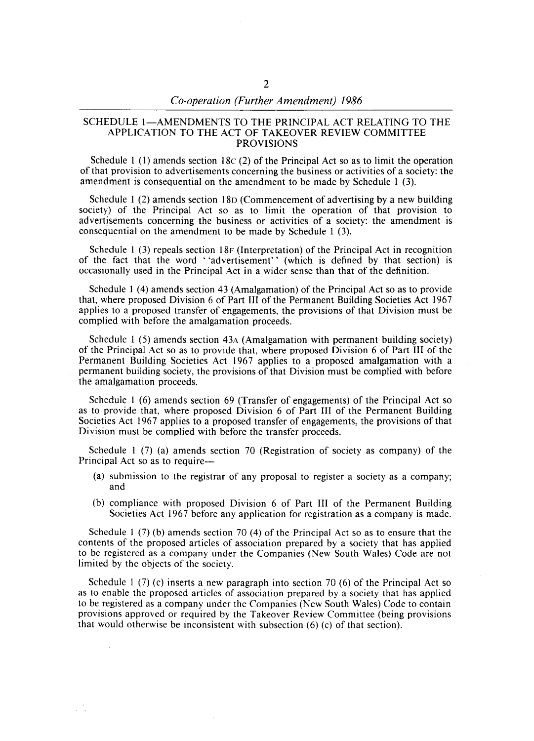#### SCHEDULE 1-AMENDMENTS TO THE PRINCIPAL ACT RELATING TO THE APPLICATION TO THE ACT OF TAKEOVER REVIEW COMMITTEE PROVISIONS

Schedule 1 (1) amends section 18c (2) of the Principal Act so as to limit the operation of that provision to advertisements concerning the business or activities of a society: the amendment is consequential on the amendment to be made by Schedule 1 (3).

Schedule 1 (2) amends section I8D (Commencement of advertising by a new building society) of the Principal Act so as to limit the operation of that provision to advertisements concerning the business or activities of a society: the amendment is consequential on the amendment to be made by Schedule 1 (3).

Schedule I (3) repeals section 18F (Interpretation) of the Principal Act in recognition of the fact that the word "advertisement" (which is defined by that section) is occasionally used in the Principal Act in a wider sense than that of the definition.

Schedule 1 (4) amends section 43 (Amalgamation) of the Principal Act so as to provide that, where proposed Division 6 of Part III of the Permanent Building Societies Act 1967 applies to a proposed transfer of engagements, the provisions of that Division must be complied with before the amalgamation proceeds.

Schedule I (5) amends section 43A (Amalgamation with permanent building society) of the Principal Act so as to provide that, where proposed Division 6 of Part III of the Permanent Building Societies Act 1967 applies to a proposed amalgamation with a permanent building society, the provisions of that Division must be complied with before the amalgamation proceeds.

Schedule I (6) amends section 69 (Transfer of engagements) of the Principal Act so as to provide that, where proposed Division 6 of Part **III** of the Permanent Building Societies Act 1967 applies to a proposed transfer of engagements, the provisions of that Division must be complied with before the transfer proceeds.

Schedule I (7) (a) amends section 70 (Registration of society as company) of the Principal Act so as to require-

- (a) submission to the registrar of any proposal to register a society as a company; and
- (b) compliance with proposed Division 6 of Part III of the Permanent Building Societies Act 1967 before any application for registration as a company is made.

Schedule 1 (7) (b) amends section 70 (4) of the Principal Act so as to ensure that the contents of the proposed articles of association prepared by a society that has applied to be registered as a company under the Companies (New South Wales) Code are not limited by the objects of the society.

Schedule 1 (7) (c) inserts a new paragraph into section 70 (6) of the Principal Act so as to enable the proposed articles of association prepared by a society that has applied to be registered as a company under the Companies (New South Wales) Code to contain provisions approved or required by the Takeover Review Committee (being provisions that would otherwise be inconsistent with subsection (6) (c) of that section).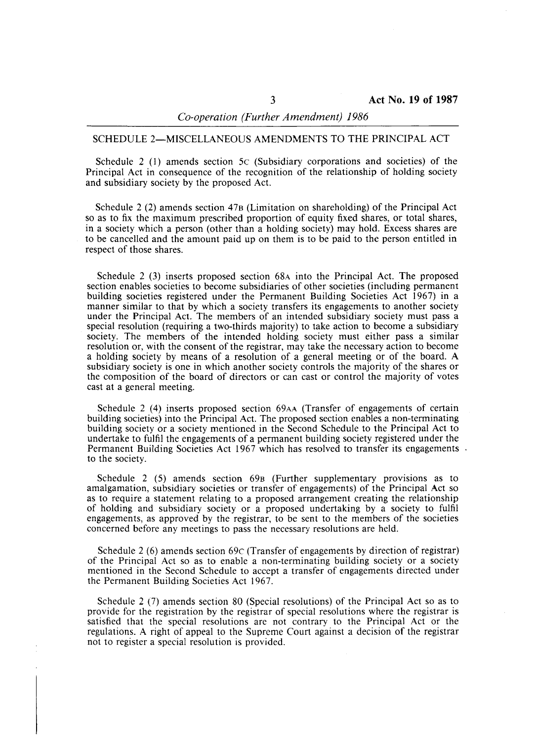### SCHEDULE 2-MISCELLANEOUS AMENDMENTS TO THE PRINCIPAL ACT

Schedule 2 (1) amends section 5c (Subsidiary corporations and societies) of the Principal Act in consequence of the recognition of the relationship of holding society and subsidiary society by the proposed Act.

Schedule 2 (2) amends section 47B (Limitation on shareholding) of the Principal Act so as to fix the maximum prescribed proportion of equity fixed shares, or total shares, in a society which a person (other than a holding society) may hold. Excess shares are to be cancelled and the amount paid up on them is to be paid to the person entitled in respect of those shares.

Schedule 2 (3) inserts proposed section 68A into the Principal Act. The proposed section enables societies to become subsidiaries of other societies (including permanent building societies registered under the Permanent Building Societies Act 1967) in a manner similar to that by which a society transfers its engagements to another society under the Principal Act. The members of an intended subsidiary society must pass a special resolution (requiring a two-thirds majority) to take action to become a subsidiary society. The members of the intended holding society must either pass a similar resolution or, with the consent of the registrar, may take the necessary action to become a holding society by means of a resolution of a general meeting or of the board. A subsidiary society is one in which another society controls the majority of the shares or the composition of the board of directors or can cast or control the majority of votes cast at a general meeting.

Schedule 2 (4) inserts proposed section 69AA (Transfer of engagements of certain building societies) into the Principal Act. The proposed section enables a non-terminating building society or a society mentioned in the Second Schedule to the Principal Act to undertake to fulfil the engagements of a permanent building society registered under the Permanent Building Societies Act 1967 which has resolved to transfer its engagements to the society.

Schedule 2 (5) amends section 69B (Further supplementary provisions as to amalgamation, subsidiary societies or transfer of engagements) of the Principal Act so as to require a statement relating to a proposed arrangement creating the relationship of holding and subsidiary society or a proposed undertaking by a society to fulfil engagements, as approved by the registrar, to be sent to the members of the societies concerned before any meetings to pass the necessary resolutions are held.

Schedule 2 (6) amends section 69c (Transfer of engagements by direction of registrar) of the Principal Act so as to enable a non-terminating building society or a society mentioned in the Second Schedule to accept a transfer of engagements directed under the Permanent Building Societies Act 1967.

Schedule 2 (7) amends section 80 (Special resolutions) of the Principal Act so as to provide for the registration by the registrar of special resolutions where the registrar is satisfied that the special resolutions are not contrary to the Principal Act or the regulations. A right of appeal to the Supreme Court against a decision of the registrar not to register a special resolution is provided.